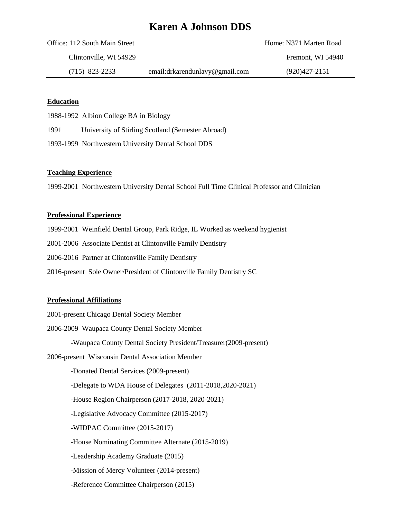# **Karen A Johnson DDS**

| Office: 112 South Main Street |                                | Home: N371 Marten Road |
|-------------------------------|--------------------------------|------------------------|
| Clintonville, WI 54929        |                                | Fremont. WI 54940      |
| $(715)$ 823-2233              | email:drkarendunlavy@gmail.com | $(920)427 - 2151$      |

## **Education**

1988-1992 Albion College BA in Biology

1991 University of Stirling Scotland (Semester Abroad)

1993-1999 Northwestern University Dental School DDS

## **Teaching Experience**

1999-2001 Northwestern University Dental School Full Time Clinical Professor and Clinician

#### **Professional Experience**

1999-2001 Weinfield Dental Group, Park Ridge, IL Worked as weekend hygienist

2001-2006 Associate Dentist at Clintonville Family Dentistry

2006-2016 Partner at Clintonville Family Dentistry

2016-present Sole Owner/President of Clintonville Family Dentistry SC

### **Professional Affiliations**

2001-present Chicago Dental Society Member

2006-2009 Waupaca County Dental Society Member

-Waupaca County Dental Society President/Treasurer(2009-present)

2006-present Wisconsin Dental Association Member

-Donated Dental Services (2009-present)

-Delegate to WDA House of Delegates (2011-2018,2020-2021)

-House Region Chairperson (2017-2018, 2020-2021)

-Legislative Advocacy Committee (2015-2017)

-WIDPAC Committee (2015-2017)

-House Nominating Committee Alternate (2015-2019)

-Leadership Academy Graduate (2015)

-Mission of Mercy Volunteer (2014-present)

-Reference Committee Chairperson (2015)